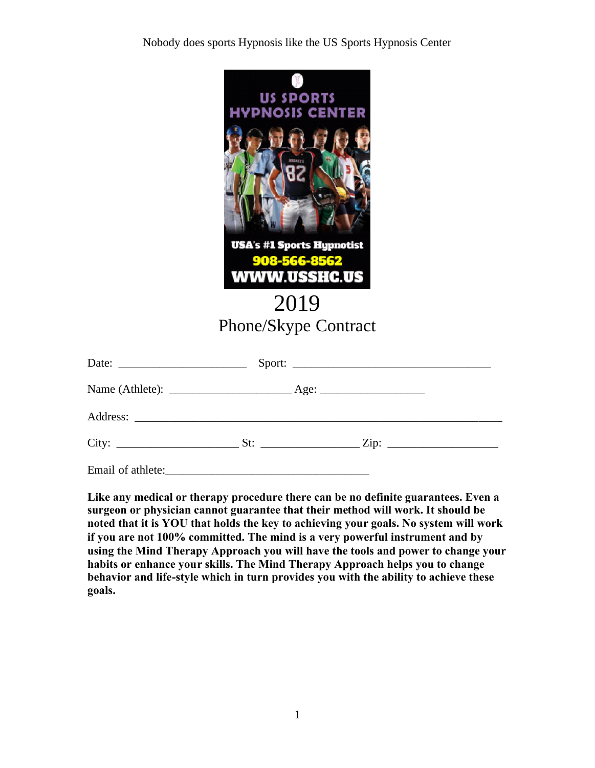Nobody does sports Hypnosis like the US Sports Hypnosis Center



**Like any medical or therapy procedure there can be no definite guarantees. Even a surgeon or physician cannot guarantee that their method will work. It should be noted that it is YOU that holds the key to achieving your goals. No system will work if you are not 100% committed. The mind is a very powerful instrument and by using the Mind Therapy Approach you will have the tools and power to change your habits or enhance your skills. The Mind Therapy Approach helps you to change behavior and life-style which in turn provides you with the ability to achieve these goals.**